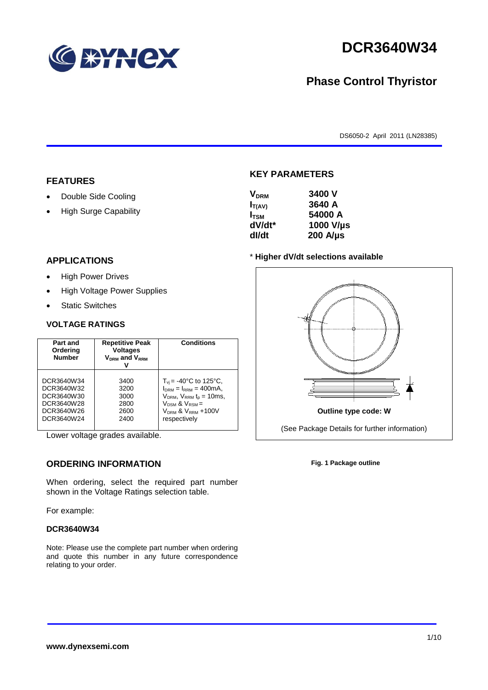

# **DCR3640W34**

# **Phase Control Thyristor**

DS6050-2 April 2011 (LN28385)

### **FEATURES**

- Double Side Cooling
- High Surge Capability

# **APPLICATIONS**

- High Power Drives
- High Voltage Power Supplies
- Static Switches

### **VOLTAGE RATINGS**

| Part and<br>Ordering<br><b>Number</b> | <b>Repetitive Peak</b><br><b>Voltages</b><br>$V_{DRM}$ and $V_{RRM}$ | <b>Conditions</b>                     |
|---------------------------------------|----------------------------------------------------------------------|---------------------------------------|
| DCR3640W34                            | 3400                                                                 | $T_{\rm vi}$ = -40°C to 125°C,        |
| DCR3640W32                            | 3200                                                                 | $I_{DRM} = I_{RRM} = 400 \text{mA}$ , |
| DCR3640W30                            | 3000                                                                 | $V_{DRM}$ , $V_{RRM}$ $t_{p}$ = 10ms, |
| DCR3640W28                            | 2800                                                                 | $V_{DSM}$ & $V_{RSM}$ =               |
| DCR3640W26                            | 2600                                                                 | $VDRM$ & $VRRM + 100V$                |
| DCR3640W24                            | 2400                                                                 | respectively                          |

Lower voltage grades available.

# **ORDERING INFORMATION**

When ordering, select the required part number shown in the Voltage Ratings selection table.

For example:

#### **DCR3640W34**

Note: Please use the complete part number when ordering and quote this number in any future correspondence relating to your order.



**KEY PARAMETERS**

| $I_{T(AV)}$      | 3640 A           |
|------------------|------------------|
| I <sub>tsm</sub> | 54000 A          |
| dV/dt*           | 1000 V/µs        |
| dl/dt            | $200$ A/ $\mu$ s |

#### \* **Higher dV/dt selections available**



**Fig. 1 Package outline**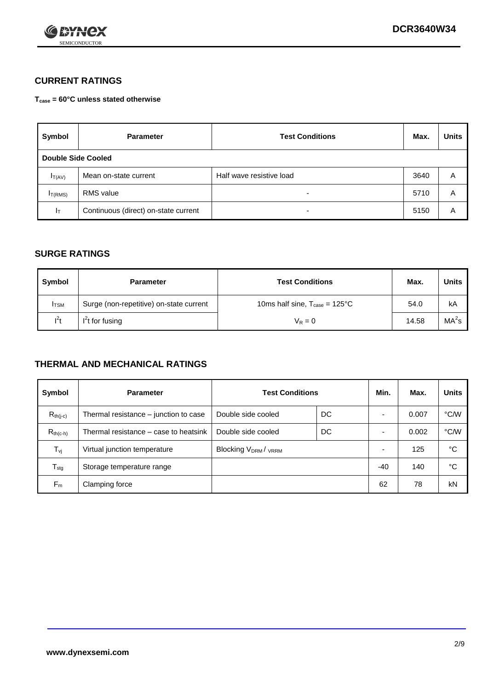

# **CURRENT RATINGS**

**Tcase = 60°C unless stated otherwise**

| Symbol             | <b>Parameter</b>                     | <b>Test Conditions</b>   | Max. | <b>Units</b> |
|--------------------|--------------------------------------|--------------------------|------|--------------|
| Double Side Cooled |                                      |                          |      |              |
| $I_{T(AV)}$        | Mean on-state current                | Half wave resistive load | 3640 | A            |
| $I_{T(RMS)}$       | RMS value                            | $\overline{\phantom{a}}$ | 5710 | Α            |
| Iт                 | Continuous (direct) on-state current | $\overline{\phantom{a}}$ | 5150 | Α            |

### **SURGE RATINGS**

| Symbol       | <b>Parameter</b>                        | <b>Test Conditions</b>                           | Max.  | Units             |
|--------------|-----------------------------------------|--------------------------------------------------|-------|-------------------|
| <b>I</b> TSM | Surge (non-repetitive) on-state current | 10ms half sine, $T_{\text{case}} = 125^{\circ}C$ | 54.0  | kA                |
| $l^2t$       | $I2t$ for fusing                        | $V_R = 0$                                        | 14.58 | MA <sup>2</sup> s |

## **THERMAL AND MECHANICAL RATINGS**

| Symbol           | <b>Parameter</b>                      | <b>Test Conditions</b>    |    | Min.  | Max.  | <b>Units</b> |
|------------------|---------------------------------------|---------------------------|----|-------|-------|--------------|
| $R_{th(j-c)}$    | Thermal resistance – junction to case | Double side cooled        | DC |       | 0.007 | °C/W         |
| $R_{th(c-h)}$    | Thermal resistance – case to heatsink | Double side cooled        | DC |       | 0.002 | °C/W         |
| $T_{\nu j}$      | Virtual junction temperature          | <b>Blocking VDRM/VRRM</b> |    |       | 125   | °C           |
| $T_{\text{stg}}$ | Storage temperature range             |                           |    | $-40$ | 140   | °C           |
| $F_m$            | Clamping force                        |                           |    | 62    | 78    | kN           |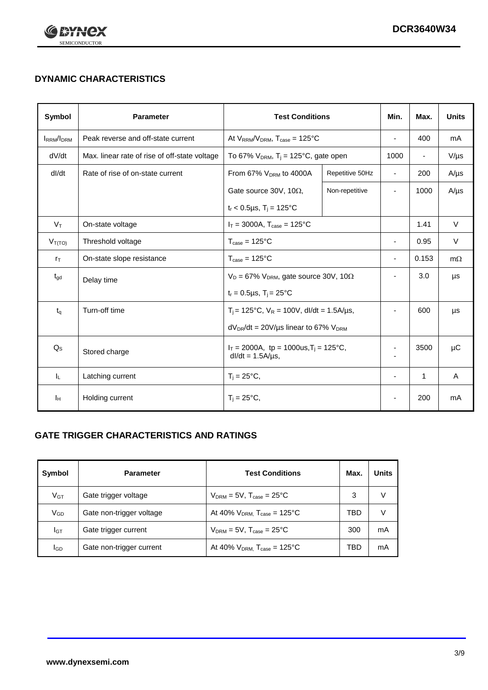

# **DYNAMIC CHARACTERISTICS**

| Symbol            | <b>Parameter</b>                              | <b>Test Conditions</b>                                                 |                 | Min.                     | Max.                     | <b>Units</b> |
|-------------------|-----------------------------------------------|------------------------------------------------------------------------|-----------------|--------------------------|--------------------------|--------------|
| <b>IRRM</b> /IDRM | Peak reverse and off-state current            | At $V_{RRM}/V_{DRM}$ , $T_{case} = 125$ °C                             |                 | $\blacksquare$           | 400                      | mA           |
| dV/dt             | Max. linear rate of rise of off-state voltage | To 67% $V_{DRM}$ , T <sub>i</sub> = 125°C, gate open                   |                 | 1000                     | $\overline{\phantom{a}}$ | $V/\mu s$    |
| dl/dt             | Rate of rise of on-state current              | From 67% V <sub>DRM</sub> to 4000A                                     | Repetitive 50Hz | $\overline{\phantom{a}}$ | 200                      | $A/\mu s$    |
|                   |                                               | Gate source 30V, 10 $\Omega$ ,                                         | Non-repetitive  | $\overline{\phantom{a}}$ | 1000                     | $A/\mu s$    |
|                   |                                               | $t_r$ < 0.5µs, T <sub>i</sub> = 125°C                                  |                 |                          |                          |              |
| $V_T$             | On-state voltage                              | $I_T = 3000A$ , $T_{case} = 125^{\circ}C$                              |                 |                          | 1.41                     | $\vee$       |
| $V_{T(TO)}$       | Threshold voltage                             | $T_{\text{case}} = 125^{\circ}C$                                       |                 | ٠                        | 0.95                     | $\vee$       |
| $r_{\text{T}}$    | On-state slope resistance                     | $T_{\text{case}} = 125^{\circ}C$                                       |                 | $\overline{\phantom{a}}$ | 0.153                    | $m\Omega$    |
| $t_{\rm gd}$      | Delay time                                    | $V_D = 67\%$ V <sub>DRM</sub> , gate source 30V, 10 $\Omega$           |                 | ÷                        | 3.0                      | μs           |
|                   |                                               | $t_r = 0.5 \mu s$ , $T_i = 25^{\circ}C$                                |                 |                          |                          |              |
| $t_{q}$           | Turn-off time                                 | $T_i$ = 125°C, $V_R$ = 100V, dl/dt = 1.5A/us,                          |                 | ٠                        | 600                      | μs           |
|                   |                                               | $dV_{DR}/dt = 20V/\mu s$ linear to 67% $V_{DRM}$                       |                 |                          |                          |              |
| $Q_{\rm S}$       | Stored charge                                 | $I_T = 2000A$ , tp = 1000us, $T_i = 125$ °C,<br>$dl/dt = 1.5A/\mu s$ , |                 |                          | 3500                     | μC           |
| IL.               | Latching current                              | $T_i = 25^{\circ}C$ ,                                                  |                 | $\blacksquare$           | $\mathbf{1}$             | Α            |
| Iн                | Holding current                               | $T_i = 25^{\circ}C,$                                                   |                 |                          | 200                      | mA           |

# **GATE TRIGGER CHARACTERISTICS AND RATINGS**

| Symbol          | <b>Parameter</b>         | <b>Test Conditions</b>                    | Max. | <b>Units</b> |
|-----------------|--------------------------|-------------------------------------------|------|--------------|
| V <sub>GT</sub> | Gate trigger voltage     | $V_{DRM} = 5V$ , $T_{case} = 25^{\circ}C$ | 3    |              |
| $V_{GD}$        | Gate non-trigger voltage | At 40% $V_{DRM}$ , $T_{case}$ = 125°C     | TBD  |              |
| Iст             | Gate trigger current     | $V_{DRM} = 5V$ , $T_{case} = 25^{\circ}C$ | 300  | mA           |
| <b>I</b> GD     | Gate non-trigger current | At 40% $V_{DRM}$ , $T_{case}$ = 125°C     | TBD  | mA           |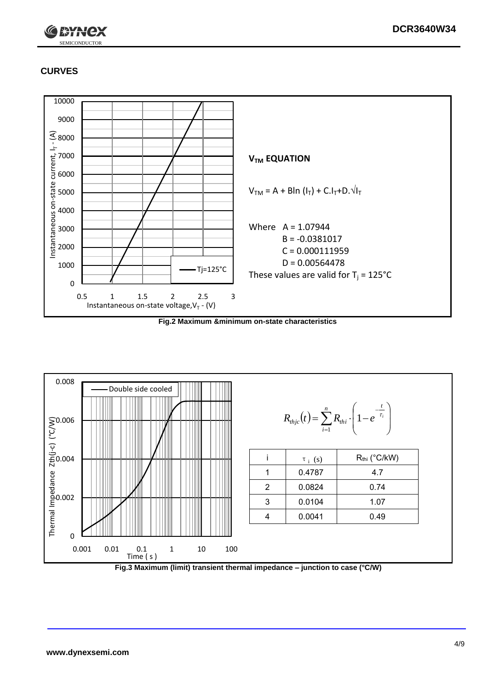

# **CURVES**



**Fig.2 Maximum &minimum on-state characteristics**



**Fig.3 Maximum (limit) transient thermal impedance – junction to case (°C/W)**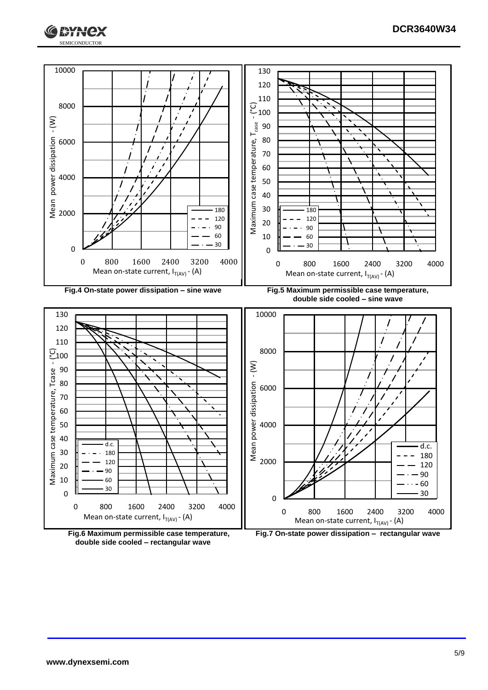





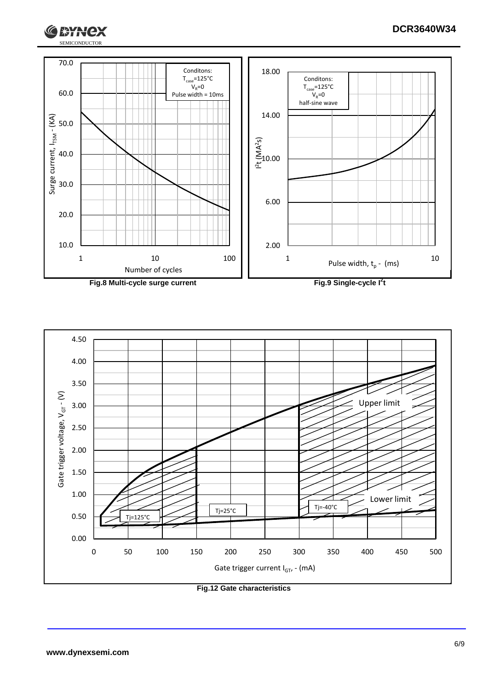



SEMICONDUCTOR

**I RYNCX** 

G





**Fig.12 Gate characteristics**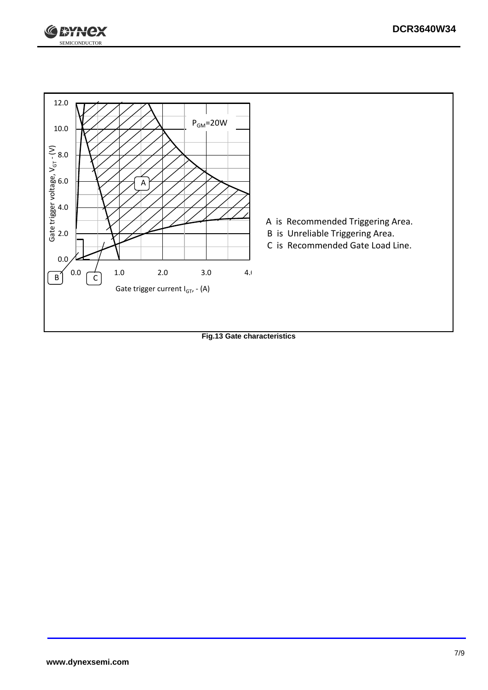



**Fig.13 Gate characteristics**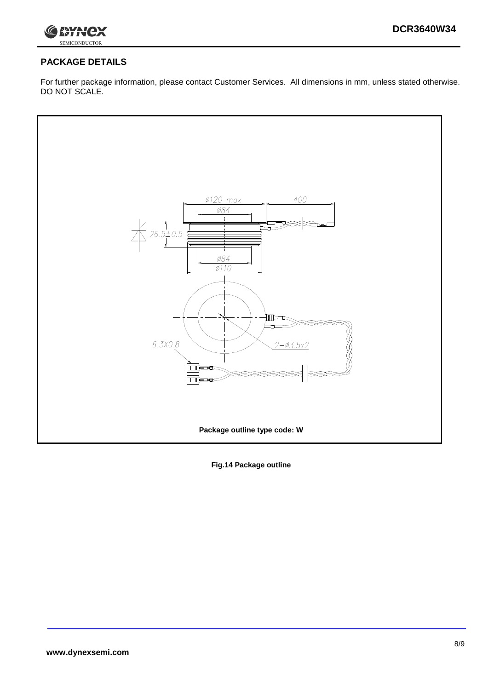

# **PACKAGE DETAILS**

For further package information, please contact Customer Services. All dimensions in mm, unless stated otherwise. DO NOT SCALE.



**Fig.14 Package outline**